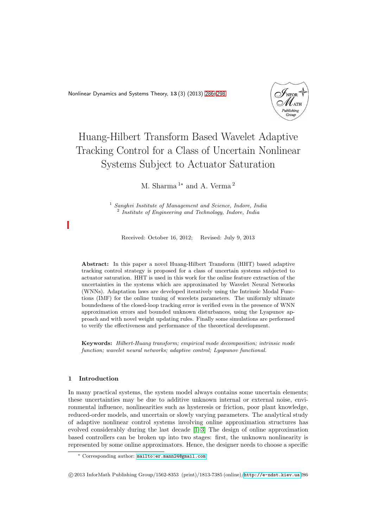<span id="page-0-0"></span>Nonlinear Dynamics and Systems Theory, 13 (3) (2013) [286–](#page-0-0)[298](#page-12-0)



# Huang-Hilbert Transform Based Wavelet Adaptive Tracking Control for a Class of Uncertain Nonlinear Systems Subject to Actuator Saturation

M. Sharma<sup>1∗</sup> and A. Verma<sup>2</sup>

<sup>1</sup> *Sanghvi Institute of Management and Science, Indore, India* 2 *Institute of Engineering and Technology, Indore, India*

Received: October 16, 2012; Revised: July 9, 2013

Abstract: In this paper a novel Huang-Hilbert Transform (HHT) based adaptive tracking control strategy is proposed for a class of uncertain systems subjected to actuator saturation. HHT is used in this work for the online feature extraction of the uncertainties in the systems which are approximated by Wavelet Neural Networks (WNNs). Adaptation laws are developed iteratively using the Intrinsic Modal Functions (IMF) for the online tuning of wavelets parameters. The uniformly ultimate boundedness of the closed-loop tracking error is verified even in the presence of WNN approximation errors and bounded unknown disturbances, using the Lyapunov approach and with novel weight updating rules. Finally some simulations are performed to verify the effectiveness and performance of the theoretical development.

Keywords: *Hilbert-Huang transform; empirical mode decomposition; intrinsic mode function; wavelet neural networks; adaptive control; Lyapunov functional.*

# 1 Introduction

In many practical systems, the system model always contains some uncertain elements; these uncertainties may be due to additive unknown internal or external noise, environmental influence, nonlinearities such as hysteresis or friction, poor plant knowledge, reduced-order models, and uncertain or slowly varying parameters. The analytical study of adaptive nonlinear control systems involving online approximation structures has evolved considerably during the last decade [\[1–](#page-12-1)[3\]](#page-12-2) The design of online approximation based controllers can be broken up into two stages: first, the unknown nonlinearity is represented by some online approximators. Hence, the designer needs to choose a specific

<sup>∗</sup> Corresponding author: [mailto:er.mann24@gmail.com](mailto: er.mann24@gmail.com)

c 2013 InforMath Publishing Group/1562-8353 (print)/1813-7385 (online)/<http://e-ndst.kiev.ua>286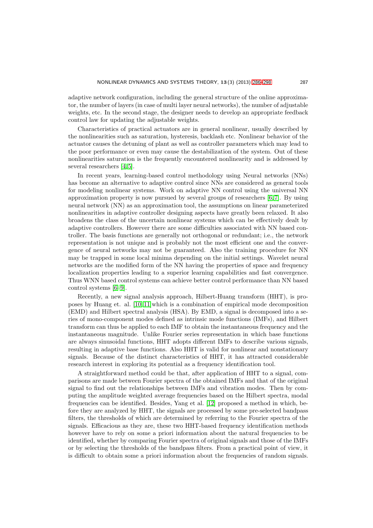adaptive network configuration, including the general structure of the online approximator, the number of layers (in case of multi layer neural networks), the number of adjustable weights, etc. In the second stage, the designer needs to develop an appropriate feedback control law for updating the adjustable weights.

Characteristics of practical actuators are in general nonlinear, usually described by the nonlinearities such as saturation, hysteresis, backlash etc. Nonlinear behavior of the actuator causes the detuning of plant as well as controller parameters which may lead to the poor performance or even may cause the destabilization of the system. Out of these nonlinearities saturation is the frequently encountered nonlinearity and is addressed by several researchers [\[4,](#page-12-3) [5\]](#page-12-4).

In recent years, learning-based control methodology using Neural networks (NNs) has become an alternative to adaptive control since NNs are considered as general tools for modeling nonlinear systems. Work on adaptive NN control using the universal NN approximation property is now pursued by several groups of researchers  $[6, 7]$  $[6, 7]$ . By using neural network (NN) as an approximation tool, the assumptions on linear parameterized nonlinearities in adaptive controller designing aspects have greatly been relaxed. It also broadens the class of the uncertain nonlinear systems which can be effectively dealt by adaptive controllers. However there are some difficulties associated with NN based controller. The basis functions are generally not orthogonal or redundant; i.e., the network representation is not unique and is probably not the most efficient one and the convergence of neural networks may not be guaranteed. Also the training procedure for NN may be trapped in some local minima depending on the initial settings. Wavelet neural networks are the modified form of the NN having the properties of space and frequency localization properties leading to a superior learning capabilities and fast convergence. Thus WNN based control systems can achieve better control performance than NN based control systems [\[6](#page-12-5)[–9\]](#page-12-7).

Recently, a new signal analysis approach, Hilbert-Huang transform (HHT), is proposes by Huang et. al. [\[10,](#page-12-8) [11\]](#page-12-9)which is a combination of empirical mode decomposition (EMD) and Hilbert spectral analysis (HSA). By EMD, a signal is decomposed into a series of mono-component modes defined as intrinsic mode functions (IMFs), and Hilbert transform can thus be applied to each IMF to obtain the instantaneous frequency and the instantaneous magnitude. Unlike Fourier series representation in which base functions are always sinusoidal functions, HHT adopts different IMFs to describe various signals, resulting in adaptive base functions. Also HHT is valid for nonlinear and nonstationary signals. Because of the distinct characteristics of HHT, it has attracted considerable research interest in exploring its potential as a frequency identification tool.

A straightforward method could be that, after application of HHT to a signal, comparisons are made between Fourier spectra of the obtained IMFs and that of the original signal to find out the relationships between IMFs and vibration modes. Then by computing the amplitude weighted average frequencies based on the Hilbert spectra, modal frequencies can be identified. Besides, Yang et al. [\[12\]](#page-12-10) proposed a method in which, before they are analyzed by HHT, the signals are processed by some pre-selected bandpass filters, the thresholds of which are determined by referring to the Fourier spectra of the signals. Efficacious as they are, these two HHT-based frequency identification methods however have to rely on some a priori information about the natural frequencies to be identified, whether by comparing Fourier spectra of original signals and those of the IMFs or by selecting the thresholds of the bandpass filters. From a practical point of view, it is difficult to obtain some a priori information about the frequencies of random signals.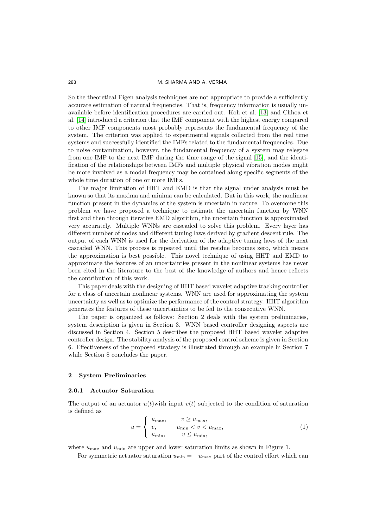So the theoretical Eigen analysis techniques are not appropriate to provide a sufficiently accurate estimation of natural frequencies. That is, frequency information is usually unavailable before identification procedures are carried out. Koh et al. [\[13\]](#page-12-11) and Chhoa et al. [\[14\]](#page-12-12) introduced a criterion that the IMF component with the highest energy compared to other IMF components most probably represents the fundamental frequency of the system. The criterion was applied to experimental signals collected from the real time systems and successfully identified the IMFs related to the fundamental frequencies. Due to noise contamination, however, the fundamental frequency of a system may relegate from one IMF to the next IMF during the time range of the signal [\[15\]](#page-12-13), and the identification of the relationships between IMFs and multiple physical vibration modes might be more involved as a modal frequency may be contained along specific segments of the whole time duration of one or more IMFs.

The major limitation of HHT and EMD is that the signal under analysis must be known so that its maxima and minima can be calculated. But in this work, the nonlinear function present in the dynamics of the system is uncertain in nature. To overcome this problem we have proposed a technique to estimate the uncertain function by WNN first and then through iterative EMD algorithm, the uncertain function is approximated very accurately. Multiple WNNs are cascaded to solve this problem. Every layer has different number of nodes and different tuning laws derived by gradient descent rule. The output of each WNN is used for the derivation of the adaptive tuning laws of the next cascaded WNN. This process is repeated until the residue becomes zero, which means the approximation is best possible. This novel technique of using HHT and EMD to approximate the features of an uncertainties present in the nonlinear systems has never been cited in the literature to the best of the knowledge of authors and hence reflects the contribution of this work.

This paper deals with the designing of HHT based wavelet adaptive tracking controller for a class of uncertain nonlinear systems. WNN are used for approximating the system uncertainty as well as to optimize the performance of the control strategy. HHT algorithm generates the features of these uncertainties to be fed to the consecutive WNN.

The paper is organized as follows: Section 2 deals with the system preliminaries, system description is given in Section 3. WNN based controller designing aspects are discussed in Section 4. Section 5 describes the proposed HHT based wavelet adaptive controller design. The stability analysis of the proposed control scheme is given in Section 6. Effectiveness of the proposed strategy is illustrated through an example in Section 7 while Section 8 concludes the paper.

#### 2 System Preliminaries

#### 2.0.1 Actuator Saturation

The output of an actuator  $u(t)$  with input  $v(t)$  subjected to the condition of saturation is defined as

$$
u = \begin{cases} u_{\text{max}}, & v \ge u_{\text{max}}, \\ v, & u_{\text{min}} < v < u_{\text{max}}, \\ u_{\text{min}}, & v \le u_{\text{min}}, \end{cases}
$$
(1)

where  $u_{\text{max}}$  and  $u_{\text{min}}$  are upper and lower saturation limits as shown in Figure 1.

For symmetric actuator saturation  $u_{\min} = -u_{\max}$  part of the control effort which can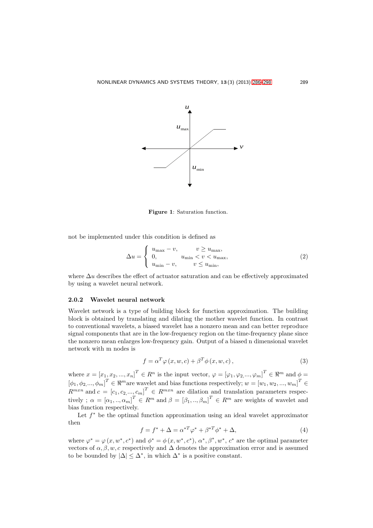

Figure 1: Saturation function.

not be implemented under this condition is defined as

$$
\Delta u = \begin{cases} u_{\text{max}} - v, & v \ge u_{\text{max}}, \\ 0, & u_{\text{min}} < v < u_{\text{max}}, \\ u_{\text{min}} - v, & v \le u_{\text{min}}, \end{cases}
$$
(2)

where  $\Delta u$  describes the effect of actuator saturation and can be effectively approximated by using a wavelet neural network.

# 2.0.2 Wavelet neural network

Wavelet network is a type of building block for function approximation. The building block is obtained by translating and dilating the mother wavelet function. In contrast to conventional wavelets, a biased wavelet has a nonzero mean and can better reproduce signal components that are in the low-frequency region on the time-frequency plane since the nonzero mean enlarges low-frequency gain. Output of a biased n dimensional wavelet network with m nodes is

$$
f = \alpha^T \varphi(x, w, c) + \beta^T \phi(x, w, c), \qquad (3)
$$

where  $x = [x_1, x_2, ..., x_n]^T \in R^n$  is the input vector,  $\varphi = [\varphi_1, \varphi_2, ..., \varphi_m]^T \in \Re^m$  and  $\phi =$  $[\phi_1, \phi_2, ..., \phi_m]^T \in \Re^m$  are wavelet and bias functions respectively;  $w = [w_1, w_2, ..., w_m]^T \in$  $R^{m x n}$  and  $c = [c_1, c_2, ..., c_m]^T \in R^{m x n}$  are dilation and translation parameters respectively ;  $\alpha = [\alpha_1, ..., \alpha_m]^T \in R^m$  and  $\beta = [\beta_1, ..., \beta_m]^T \in R^m$  are weights of wavelet and bias function respectively.

Let  $f^*$  be the optimal function approximation using an ideal wavelet approximator then

$$
f = f^* + \Delta = \alpha^{*T} \varphi^* + \beta^{*T} \phi^* + \Delta,
$$
\n<sup>(4)</sup>

where  $\varphi^* = \varphi(x, w^*, c^*)$  and  $\phi^* = \phi(x, w^*, c^*)$ ,  $\alpha^*, \beta^*, w^*, c^*$  are the optimal parameter vectors of  $\alpha, \beta, w, c$  respectively and  $\Delta$  denotes the approximation error and is assumed to be bounded by  $|\Delta| \leq \Delta^*$ , in which  $\Delta^*$  is a positive constant.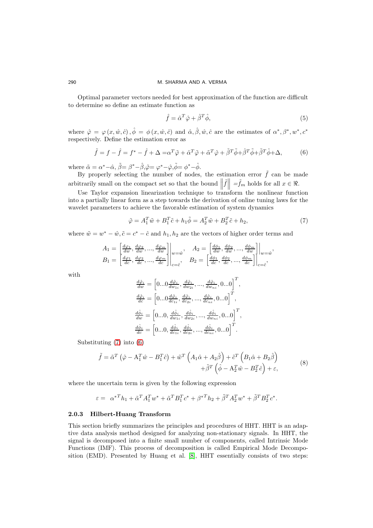Optimal parameter vectors needed for best approximation of the function are difficult to determine so define an estimate function as

$$
\hat{f} = \hat{\alpha}^T \hat{\varphi} + \hat{\beta}^T \hat{\phi},\tag{5}
$$

where  $\hat{\varphi} = \varphi(x, \hat{w}, \hat{c})$ ,  $\hat{\phi} = \phi(x, \hat{w}, \hat{c})$  and  $\hat{\alpha}, \hat{\beta}, \hat{w}, \hat{c}$  are the estimates of  $\alpha^*, \beta^*, w^*, c^*$ respectively. Define the estimation error as

<span id="page-4-1"></span>
$$
\tilde{f} = f - \hat{f} = f^* - \hat{f} + \Delta = \alpha^T \tilde{\varphi} + \hat{\alpha}^T \tilde{\varphi} + \tilde{\alpha}^T \hat{\varphi} + \tilde{\beta}^T \tilde{\phi} + \hat{\beta}^T \tilde{\phi} + \tilde{\beta}^T \hat{\phi} + \Delta,
$$
\n(6)

where  $\tilde{\alpha} = \alpha^* - \hat{\alpha}, \tilde{\beta} = \beta^* - \hat{\beta}, \tilde{\varphi} = \varphi^* - \hat{\varphi}, \tilde{\phi} = \phi^* - \hat{\phi}.$ 

By properly selecting the number of nodes, the estimation error  $\tilde{f}$  can be made arbitrarily small on the compact set so that the bound  $\|\cdot\|$ itrarily small on the compact set so that the bound  $\left\| \tilde{f} \right\| = \tilde{f}_m$  holds for all  $x \in \Re$ .<br>Use Taylor expansion linearization technique to transform the nonlinear function

into a partially linear form as a step towards the derivation of online tuning laws for the wavelet parameters to achieve the favorable estimation of system dynamics

<span id="page-4-0"></span>
$$
\tilde{\varphi} = A_1^T \tilde{w} + B_1^T \tilde{c} + h_1 \tilde{\phi} = A_2^T \tilde{w} + B_2^T \tilde{c} + h_2,\tag{7}
$$

,

where  $\tilde{w} = w^* - \hat{w}, \tilde{c} = c^* - \hat{c}$  and  $h_1, h_2$  are the vectors of higher order terms and

$$
A_1 = \begin{bmatrix} \frac{d\varphi_1}{dw}, \frac{d\varphi_2}{dw}, \dots, \frac{d\varphi_m}{dw} \end{bmatrix}\Big|_{w=\hat{w}}, \quad A_2 = \begin{bmatrix} \frac{d\phi_1}{dw}, \frac{d\phi_2}{dw}, \dots, \frac{d\phi_m}{dw} \end{bmatrix}\Big|_{w=\hat{w}}
$$
  
\n
$$
B_1 = \begin{bmatrix} \frac{d\varphi_1}{dc}, \frac{d\varphi_2}{dc}, \dots, \frac{d\varphi_m}{dc} \end{bmatrix}\Big|_{c=\hat{c}}, \quad B_2 = \begin{bmatrix} \frac{d\phi_1}{dc}, \frac{d\phi_2}{dc}, \dots, \frac{d\phi_m}{dc} \end{bmatrix}\Big|_{c=\hat{c}},
$$

with

$$
\frac{d\hat{\varphi}_{i}}{dw} = \left[0...0 \frac{d\hat{\varphi}_{i}}{dw_{1i}}, \frac{d\hat{\varphi}_{i}}{dw_{2i}}, ..., \frac{d\hat{\varphi}_{i}}{dw_{ni}}, 0...0\right]^{T},
$$

$$
\frac{d\hat{\varphi}_{i}}{dc} = \left[0...0 \frac{d\hat{\varphi}_{i}}{dc_{1i}}, \frac{d\hat{\varphi}_{i}}{dc_{2i}}, ..., \frac{d\hat{\varphi}_{i}}{dc_{ni}}, 0...0\right]^{T},
$$

$$
\frac{d\hat{\varphi}_{i}}{dw} = \left[0...0, \frac{d\hat{\varphi}_{i}}{dw_{1i}}, \frac{d\hat{\varphi}_{i}}{dw_{2i}}, ..., \frac{d\hat{\varphi}_{i}}{dw_{ni}}, 0...0\right]^{T},
$$

$$
\frac{d\hat{\varphi}_{i}}{dc} = \left[0...0, \frac{d\hat{\varphi}_{i}}{dc_{1i}}, \frac{d\hat{\varphi}_{i}}{dc_{2i}}, ..., \frac{d\hat{\varphi}_{i}}{dc_{ni}}, 0...0\right]^{T}.
$$

Substituting [\(7\)](#page-4-0) into [\(6\)](#page-4-1)

$$
\tilde{f} = \tilde{\alpha}^T \left( \hat{\varphi} - A_1^T \hat{w} - B_1^T \hat{c} \right) + \tilde{w}^T \left( A_1 \hat{\alpha} + A_2 \hat{\beta} \right) + \tilde{c}^T \left( B_1 \hat{\alpha} + B_2 \hat{\beta} \right) \n+ \tilde{\beta}^T \left( \hat{\phi} - A_2^T \hat{w} - B_2^T \hat{c} \right) + \varepsilon,
$$
\n(8)

where the uncertain term is given by the following expression

$$
\varepsilon = \alpha^{*T} h_1 + \tilde{\alpha}^T A_1^T w^* + \tilde{\alpha}^T B_1^T c^* + {\beta^*}^T h_2 + \tilde{\beta}^T A_2^T w^* + \tilde{\beta}^T B_2^T c^*.
$$

#### 2.0.3 Hilbert-Huang Transform

This section briefly summarizes the principles and procedures of HHT. HHT is an adaptive data analysis method designed for analyzing non-stationary signals. In HHT, the signal is decomposed into a finite small number of components, called Intrinsic Mode Functions (IMF). This process of decomposition is called Empirical Mode Decomposition (EMD). Presented by Huang et al. [\[8\]](#page-12-14), HHT essentially consists of two steps: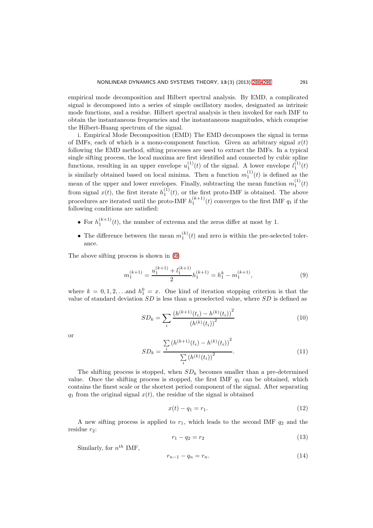empirical mode decomposition and Hilbert spectral analysis. By EMD, a complicated signal is decomposed into a series of simple oscillatory modes, designated as intrinsic mode functions, and a residue. Hilbert spectral analysis is then invoked for each IMF to obtain the instantaneous frequencies and the instantaneous magnitudes, which comprise the Hilbert-Huang spectrum of the signal.

i. Empirical Mode Decomposition (EMD) The EMD decomposes the signal in terms of IMFs, each of which is a mono-component function. Given an arbitrary signal  $x(t)$ following the EMD method, sifting processes are used to extract the IMFs. In a typical single sifting process, the local maxima are first identified and connected by cubic spline functions, resulting in an upper envelope  $u_1^{(1)}(t)$  of the signal. A lower envelope  $l_1^{(1)}(t)$ is similarly obtained based on local minima. Then a function  $m_1^{(1)}(t)$  is defined as the mean of the upper and lower envelopes. Finally, subtracting the mean function  $m_1^{(1)}(t)$ from signal  $x(t)$ , the first iterate  $h_1^{(1)}(t)$ , or the first proto-IMF is obtained. The above procedures are iterated until the proto-IMF  $h_1^{(k+1)}(t)$  converges to the first IMF  $q_1$  if the following conditions are satisfied:

- For  $h_1^{(k+1)}(t)$ , the number of extrema and the zeros differ at most by 1.
- The difference between the mean  $m_1^{(k)}(t)$  and zero is within the pre-selected tolerance.

The above sifting process is shown in [\(9\)](#page-5-0)

<span id="page-5-0"></span>
$$
m_1^{(k+1)} = \frac{u_1^{(k+1)} + l_1^{(k+1)}}{2} h_1^{(k+1)} = h_1^k - m_1^{(k+1)},
$$
\n(9)

where  $k = 0, 1, 2, \ldots$  and  $h_1^0 = x$ . One kind of iteration stopping criterion is that the value of standard deviation  $SD$  is less than a preselected value, where  $SD$  is defined as

$$
SD_k = \sum_{i} \frac{\left(h^{(k+1)}(t_i) - h^{(k)}(t_i)\right)^2}{\left(h^{(k)}(t_i)\right)^2} \tag{10}
$$

or

$$
SD_k = \frac{\sum_{i} (h^{(k+1)}(t_i) - h^{(k)}(t_i))^2}{\sum_{i} (h^{(k)}(t_i))^2}.
$$
\n(11)

The shifting process is stopped, when  $SD_k$  becomes smaller than a pre-determined value. Once the shifting process is stopped, the first IMF  $q_1$  can be obtained, which contains the finest scale or the shortest period component of the signal. After separating  $q_1$  from the original signal  $x(t)$ , the residue of the signal is obtained

$$
x(t) - q_1 = r_1. \t\t(12)
$$

A new sifting process is applied to  $r_1$ , which leads to the second IMF  $q_2$  and the residue  $r_2$ :

$$
r_1 - q_2 = r_2 \tag{13}
$$

Similarly, for  $n^{th}$  IMF,

$$
r_{n-1} - q_n = r_n. \tag{14}
$$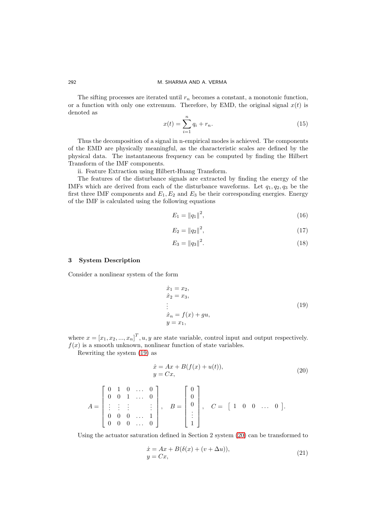The sifting processes are iterated until  $r_n$  becomes a constant, a monotonic function, or a function with only one extremum. Therefore, by EMD, the original signal  $x(t)$  is denoted as

$$
x(t) = \sum_{i=1}^{n} q_i + r_n.
$$
 (15)

Thus the decomposition of a signal in n-empirical modes is achieved. The components of the EMD are physically meaningful, as the characteristic scales are defined by the physical data. The instantaneous frequency can be computed by finding the Hilbert Transform of the IMF components.

ii. Feature Extraction using Hilbert-Huang Transform.

The features of the disturbance signals are extracted by finding the energy of the IMFs which are derived from each of the disturbance waveforms. Let  $q_1, q_2, q_3$  be the first three IMF components and  $E_1, E_2$  and  $E_3$  be their corresponding energies. Energy of the IMF is calculated using the following equations

$$
E_1 = ||q_1||^2,\t\t(16)
$$

$$
E_2 = ||q_2||^2,\t\t(17)
$$

$$
E_3 = ||q_3||^2. \t\t(18)
$$

### 3 System Description

Consider a nonlinear system of the form

<span id="page-6-0"></span>
$$
\begin{aligned}\n\dot{x}_1 &= x_2, \\
\dot{x}_2 &= x_3, \\
\vdots \\
\dot{x}_n &= f(x) + gu, \\
y &= x_1,\n\end{aligned} \n\tag{19}
$$

where  $x = [x_1, x_2, ..., x_n]^T, u, y$  are state variable, control input and output respectively.  $f(x)$  is a smooth unknown, nonlinear function of state variables.

Rewriting the system [\(19\)](#page-6-0) as

<span id="page-6-1"></span>
$$
\begin{aligned} \dot{x} &= Ax + B(f(x) + u(t)), \\ y &= Cx, \end{aligned} \tag{20}
$$

$$
A = \begin{bmatrix} 0 & 1 & 0 & \dots & 0 \\ 0 & 0 & 1 & \dots & 0 \\ \vdots & \vdots & \vdots & & \vdots \\ 0 & 0 & 0 & \dots & 1 \\ 0 & 0 & 0 & \dots & 0 \end{bmatrix}, \quad B = \begin{bmatrix} 0 \\ 0 \\ 0 \\ \vdots \\ 1 \end{bmatrix}, \quad C = \begin{bmatrix} 1 & 0 & 0 & \dots & 0 \end{bmatrix}.
$$

Using the actuator saturation defined in Section 2 system [\(20\)](#page-6-1) can be transformed to

<span id="page-6-2"></span>
$$
\begin{aligned} \dot{x} &= Ax + B(\delta(x) + (v + \Delta u)), \\ y &= Cx, \end{aligned} \tag{21}
$$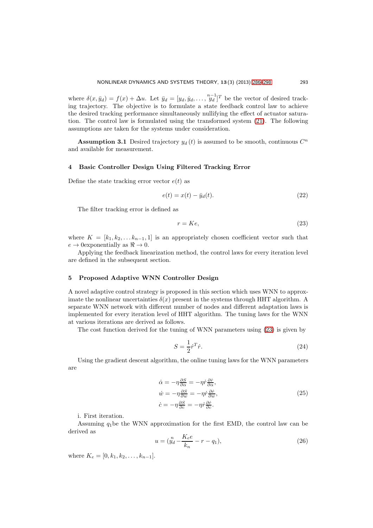where  $\delta(x, \bar{y}_d) = f(x) + \Delta u$ . Let  $\bar{y}_d = [y_d, \dot{y}_d, \dots, \frac{n-1}{y_d}]^T$  be the vector of desired tracking trajectory. The objective is to formulate a state feedback control law to achieve the desired tracking performance simultaneously nullifying the effect of actuator saturation. The control law is formulated using the transformed system [\(21\)](#page-6-2). The following assumptions are taken for the systems under consideration.

**Assumption 3.1** Desired trajectory  $y_d(t)$  is assumed to be smooth, continuous  $C^n$ and available for measurement.

### 4 Basic Controller Design Using Filtered Tracking Error

Define the state tracking error vector  $e(t)$  as

$$
e(t) = x(t) - \bar{y}_d(t). \tag{22}
$$

The filter tracking error is defined as

<span id="page-7-0"></span>
$$
r = Ke,\t\t(23)
$$

where  $K = [k_1, k_2, \ldots k_{n-1}, 1]$  is an appropriately chosen coefficient vector such that  $e \to 0$  exponentially as  $\Re \to 0$ .

Applying the feedback linearization method, the control laws for every iteration level are defined in the subsequent section.

# 5 Proposed Adaptive WNN Controller Design

A novel adaptive control strategy is proposed in this section which uses WNN to approximate the nonlinear uncertainties  $\delta(x)$  present in the systems through HHT algorithm. A separate WNN network with different number of nodes and different adaptation laws is implemented for every iteration level of HHT algorithm. The tuning laws for the WNN at various iterations are derived as follows.

The cost function derived for the tuning of WNN parameters using [\(23\)](#page-7-0) is given by

$$
S = \frac{1}{2} \dot{r}^T \dot{r}.\tag{24}
$$

Using the gradient descent algorithm, the online tuning laws for the WNN parameters are

$$
\begin{aligned}\n\dot{\alpha} &= -\eta \frac{\partial S}{\partial \alpha} = -\eta \dot{r} \frac{\partial \dot{r}}{\partial \alpha}, \\
\dot{w} &= -\eta \frac{\partial S}{\partial c} = -\eta \dot{r} \frac{\partial \dot{r}}{\partial v}, \\
\dot{c} &= -\eta \frac{\partial S}{\partial c} = -\eta \dot{r} \frac{\partial \dot{r}}{\partial c}.\n\end{aligned}
$$
\n(25)

i. First iteration.

Assuming  $q_1$  be the WNN approximation for the first EMD, the control law can be derived as

$$
u = (\n\int_{d}^{n} -\frac{K_{e}e}{k_{n}} - r - q_{1}),
$$
\n(26)

where  $K_e = [0, k_1, k_2, \ldots, k_{n-1}].$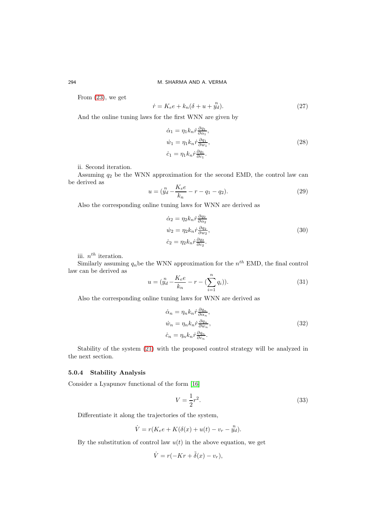From [\(23\)](#page-7-0), we get

$$
\dot{r} = K_e e + k_n (\delta + u + y_d^2). \tag{27}
$$

And the online tuning laws for the first WNN are given by

$$
\begin{aligned}\n\dot{\alpha}_1 &= \eta_1 k_n \dot{r} \frac{\partial q_1}{\partial \alpha_1}, \\
\dot{w}_1 &= \eta_1 k_n \dot{r} \frac{\partial q_1}{\partial w_1}, \\
\dot{c}_1 &= \eta_1 k_n \dot{r} \frac{\partial q_1}{\partial c_1}.\n\end{aligned} \tag{28}
$$

ii. Second iteration.

Assuming  $q_2$  be the WNN approximation for the second EMD, the control law can be derived as

$$
u = (\n \begin{array}{c}\n m \\
 y_d - \frac{K_e e}{k_n} - r - q_1 - q_2\n \end{array})
$$
\n(29)

Also the corresponding online tuning laws for WNN are derived as

$$
\begin{aligned}\n\dot{\alpha}_2 &= \eta_2 k_n \dot{r} \frac{\partial q_2}{\partial \alpha_2} \\
\dot{w}_2 &= \eta_2 k_n \dot{r} \frac{\partial q_2}{\partial w_2}, \\
\dot{c}_2 &= \eta_2 k_n \dot{r} \frac{\partial q_2}{\partial c_2}.\n\end{aligned} \tag{30}
$$

iii.  $n^{th}$  iteration.

Similarly assuming  $q_n$  be the WNN approximation for the  $n^{th}$  EMD, the final control law can be derived as

<span id="page-8-0"></span>
$$
u = (\mathring{y}_d - \frac{K_e e}{k_n} - r - (\sum_{i=1}^n q_i)).
$$
\n(31)

Also the corresponding online tuning laws for WNN are derived as

$$
\begin{aligned}\n\dot{\alpha}_n &= \eta_n k_n \dot{r} \frac{\partial q_n}{\partial \alpha_n}, \\
\dot{w}_n &= \eta_n k_n \dot{r} \frac{\partial q_n}{\partial w_n}, \\
\dot{c}_n &= \eta_n k_n \dot{r} \frac{\partial q_n}{\partial c_n}.\n\end{aligned} \tag{32}
$$

Stability of the system [\(21\)](#page-6-2) with the proposed control strategy will be analyzed in the next section.

# 5.0.4 Stability Analysis

Consider a Lyapunov functional of the form [\[16\]](#page-12-15)

$$
V = \frac{1}{2}r^2.\tag{33}
$$

Differentiate it along the trajectories of the system,

$$
\dot{V} = r(K_e e + K(\delta(x) + u(t) - v_r - y_d^2).
$$

By the substitution of control law  $u(t)$  in the above equation, we get

$$
\dot{V} = r(-Kr + \tilde{\delta}(x) - v_r),
$$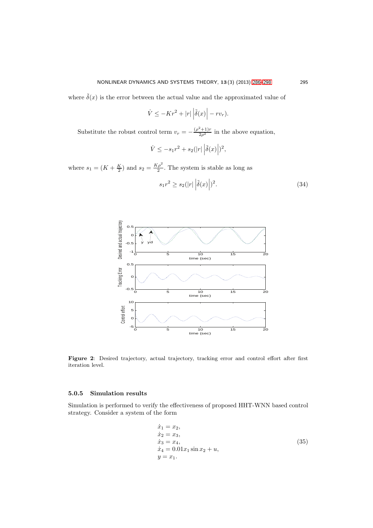where  $\tilde{\delta}(x)$  is the error between the actual value and the approximated value of

$$
\dot{V} \le -Kr^2 + |r| \left| \tilde{\delta}(x) \right| - rv_r.
$$

Substitute the robust control term  $v_r = -\frac{(\rho^2 + 1)r}{2\rho^2}$  in the above equation,

$$
\dot{V} \le -s_1 r^2 + s_2(|r| \left| \tilde{\delta}(x) \right|)^2,
$$

where  $s_1 = (K + \frac{K}{2})$  and  $s_2 = \frac{K\rho^2}{2}$  $\frac{p}{2}$ . The system is stable as long as

$$
s_1 r^2 \ge s_2(|r| |\tilde{\delta}(x)|)^2. \tag{34}
$$



Figure 2: Desired trajectory, actual trajectory, tracking error and control effort after first iteration level.

# 5.0.5 Simulation results

Simulation is performed to verify the effectiveness of proposed HHT-WNN based control strategy. Consider a system of the form

$$
\begin{aligned}\n\dot{x}_1 &= x_2, \\
\dot{x}_2 &= x_3, \\
\dot{x}_3 &= x_4, \\
\dot{x}_4 &= 0.01x_1 \sin x_2 + u, \\
y &= x_1.\n\end{aligned} \tag{35}
$$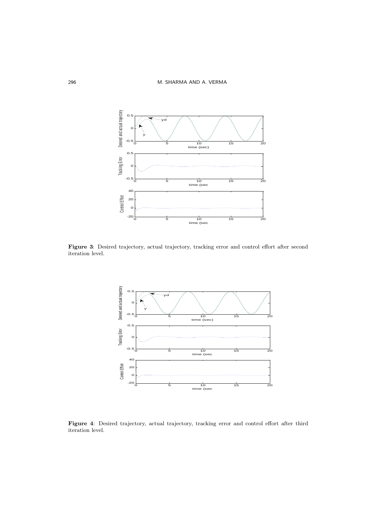

Figure 3: Desired trajectory, actual trajectory, tracking error and control effort after second iteration level.



Figure 4: Desired trajectory, actual trajectory, tracking error and control effort after third iteration level.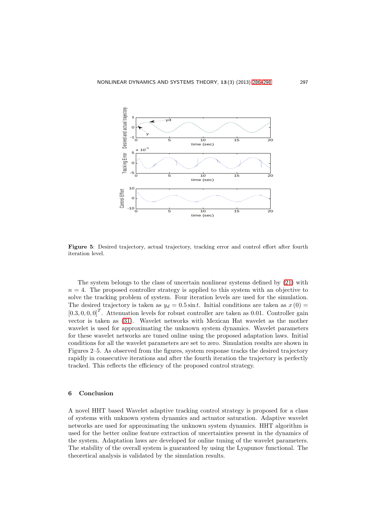

Figure 5: Desired trajectory, actual trajectory, tracking error and control effort after fourth iteration level.

The system belongs to the class of uncertain nonlinear systems defined by [\(21\)](#page-6-2) with  $n = 4$ . The proposed controller strategy is applied to this system with an objective to solve the tracking problem of system. Four iteration levels are used for the simulation. The desired trajectory is taken as  $y_d = 0.5 \sin t$ . Initial conditions are taken as  $x(0) =$  $[0.3, 0, 0, 0]^T$ . Attenuation levels for robust controller are taken as 0.01. Controller gain vector is taken as [\(31\)](#page-8-0). Wavelet networks with Mexican Hat wavelet as the mother wavelet is used for approximating the unknown system dynamics. Wavelet parameters for these wavelet networks are tuned online using the proposed adaptation laws. Initial conditions for all the wavelet parameters are set to zero. Simulation results are shown in Figures 2–5. As observed from the figures, system response tracks the desired trajectory rapidly in consecutive iterations and after the fourth iteration the trajectory is perfectly tracked. This reflects the efficiency of the proposed control strategy.

# 6 Conclusion

A novel HHT based Wavelet adaptive tracking control strategy is proposed for a class of systems with unknown system dynamics and actuator saturation. Adaptive wavelet networks are used for approximating the unknown system dynamics. HHT algorithm is used for the better online feature extraction of uncertainties present in the dynamics of the system. Adaptation laws are developed for online tuning of the wavelet parameters. The stability of the overall system is guaranteed by using the Lyapunov functional. The theoretical analysis is validated by the simulation results.